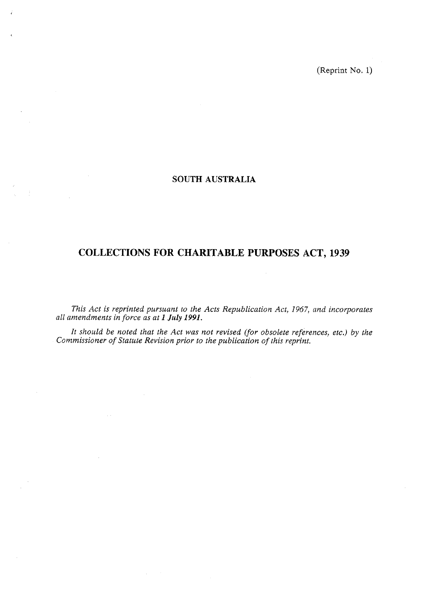(Reprint No. 1)

# **SOUTH AUSTRALIA**

# **COLLECTIONS FOR CHARITABLE PURPOSES ACT. 1939**

*This Act is reprinted pursuant to the Acts Republication Act, 1967, and incorporates all amendments in force as at 1 July 1991.* 

*It should be noted that the Act was not revised (for obsolete references, etc.) by the Commissioner of Statute Revision prior to the publication of this reprint.*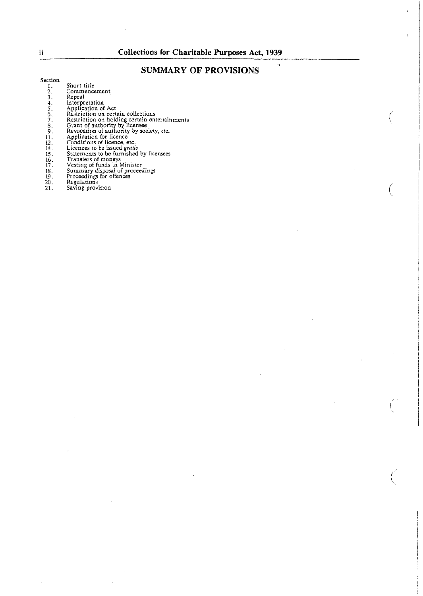# **SUMMARY OF PROVISIONS <sup>1</sup>**

#### Section

- 1. *2.*  3. Short title Commencement Repeal
- 
- 
- Inlerpretation Application of Act Restriction on certain collections
- **4. 5.**  6. **7.**
- Restriction on holding certain entertainments Grant of authority by-licensee Revocation of authority by society, etc.
- 
- 
- Application for licence Conditions of licence. etc. Licences to be issued *kratis*
- 
- 
- 
- 
- Summary disposal of proceedings<br>Proceedings for offences<br>Regulations
- 
- Saving provision

ii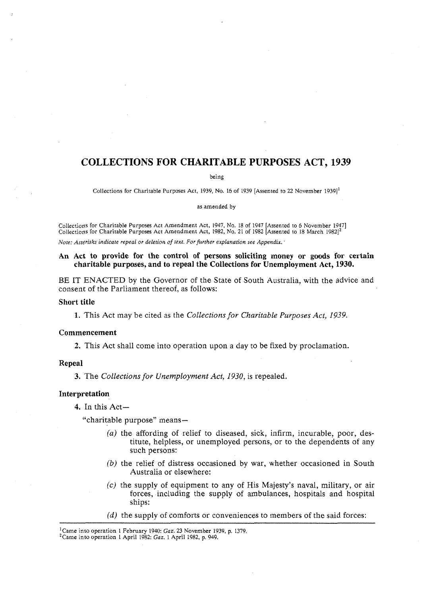## **COLLECTIONS FOR CHARITABLE PURPOSES ACT, 1939**

being

Collections for Charitable Purposes Act, 1939, No. 16 of 1939 [Assented to 22 November 19391'

as amended by

Collections for Charitable Purposes Act Amendment Act. 1947. No. 18 of 1947 [Assented to *6* November 19471 Collections for Charitable Purposes Act Amendment Act, 1982, No. 21 of 1982 [Assented to 18 March 1982] $^2$ 

Note: Asterisks indicate repeal or deletion of text. For further explanation see Appendix.

#### **An Act to provide for the control of persons soliciting money or goods for certain charitable purposes, and to repeal the Collections for Unemployment Act, 1930.**

BE IT ENACTED by the Governor of the State of South Australia, with the advice and consent of the Parliament thereof, as follows:

#### **Short title**

1. This Act may be cited as the *Collections for Charitable Purposes Act, 1939.* 

#### **Commencement**

**2.** This Act shall come into operation upon a day to be fixed by proclamation.

#### **Repeal**

**3.** The *Collections for Unemployment Act, 1930,* is repealed.

#### **Interpretation**

4. In this Act-

"charitable purpose" means-

- *(a)* the affording of relief to diseased, sick, infirm, incurable, poor, destitute, helpless, or unemployed persons, or to the dependents of any such persons:
- (b) the relief of distress occasioned by war, whether occasioned in South Australia or elsewhere:
- *(c)* the supply of equipment to any of His Majesty's naval, military, or air forces, including the supply of ambulances, hospitals and hospital ships:
- $(d)$  the supply of comforts or conveniences to members of the said forces:

<sup>&#</sup>x27;Came into operation I February 1940: **Gaz. 23** November 1939, p. 1379.

<sup>&#</sup>x27;Came into operation I April 1982: **Gaz.** I April 1982, p. 949.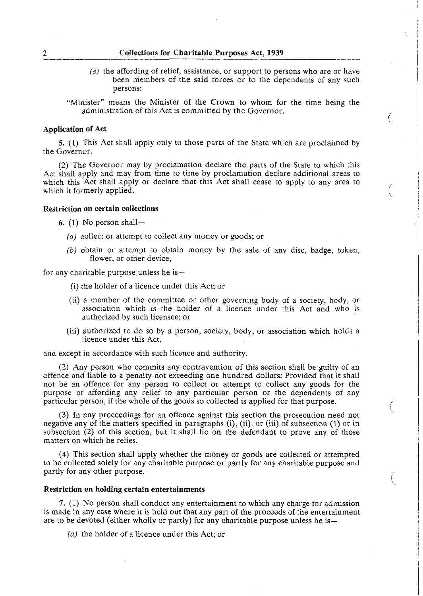## 2 Collections for Charitable Purposes Act, **1939**

*(e)* the affording of relief, assistance, or support to persons who are or have been members of the said forces or to the dependents of any such persons:

i

(

"Minister" means the Minister of the Crown to whom for the time being the administration of this Act is committed by the Governor.

#### Application of Act

5. (1) This Act shall apply only to those parts of the State which are proclaimed by the Governor.

(2) The Governor may by proclamation declare the parts of the State to which this Act shall apply and may from time to time by proclamation declare additional areas to which this Act shall apply or declare that this Act shall cease to apply to any area to which it formerly applied.

#### Restriction on certain collections

*6.* (1) No person shall-

- (a) collect or attempt to collect any money or goods; or
- (b) obtain or attempt to obtain money by the sale of any disc, badge, token, flower, or other device,

for any charitable purpose unless he is—

- (i) the holder of a licence under this Act; or
- (ii) a member of the committee or other governing body of a society, body, or association which is the holder of a licence under this Act and who is authorized by such licensee; or
- (iii) authorized to do so by a person, society, body, or association which holds a licence under this Act,

and except in accordance with such licence and authority.

(2) Any person who commits any contravention of this section shall be guilty of an offence and liable to a penalty not exceeding one hundred dollars: Provided that it shall not be an offence for any person to collect or attempt to collect any goods for the purpose of affording any relief to any particular person or the dependents of any particular person, if the whole of the goods so collected is applied for that purpose.

**(3)** In any proceedings for an offence against this section the prosecution need not negative any of the matters specified in paragraphs (i), (ii), or (iii) of subsection (1) or in subsection **(2)** of this section, but it shall lie on the defendant to prove any of those matters on which he relies.

(4) This section shall apply whether the money or goods are collected or attempted to be collected solely for any charitable purpose or partly for any charitable purpose and partly for any other purpose.

#### Restriction on holding certain entertainments

**7.** (1) No person shall conduct any entertainment to which any charge for admission is made in any case where it is held out that any part of the proceeds of the entertainment are to be devoted (either wholly or partly) for any charitable purpose unless he is—

(a) the holder of a licence under this Act; or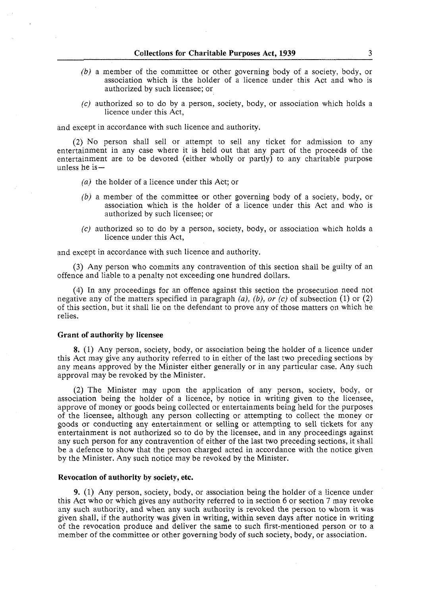- (b) a member of the committee or other governing body of a society, body, or association which is the holder of a licence under this Act and who is authorized by such licensee; or
- (c) authorized so to do by a person, society, body, or association which holds a licence under this Act,

and except in accordance with such licence and authority.

(2) No person shall sell or attempt to sell any ticket for admission to any entertainment in any case where it is held out that any part of the proceeds of the entertainment are to be devoted (either wholly or partly) to any charitable purpose unless he  $is-$ 

- (a) the holder of a licence under this Act; or
- (b) a member of the committee or other governing body of a society, body, or association which is the holder of a licence under this Act and who is authorized by such licensee; or
- (c) authorized so to do by a person, society, body, or association which holds a licence under this Act,

and except in accordance with such licence and authority.

(3) Any person who commits any contravention of this section shall be guilty of an offence and liable to a penalty not exceeding one hundred dollars.

(4) In any proceedings for an offence against this section the prosecution need not negative any of the matters specified in paragraph  $(a)$ ,  $(b)$ , or  $(c)$  of subsection  $(1)$  or  $(2)$ of this section, but it shall lie on the defendant to prove any of those matters on which he relies.

#### **Grant of authority by licensee**

**8.** (1) Any person, society, body, or association being the holder of a licence under this Act may give any authority referred to in either of the last two preceding sections by any means approved by the Minister either generally or in any particular case. Any such approval may be revoked by the Minister.

(2) The Minister may upon the application of any person, society, body, or association being the holder of a licence, by notice in writing given to the licensee, approve of money or goods being collected or entertainments being held for the purposes of the licensee, although any person collecting or attempting to collect the money or goods or conducting any entertainment or selling or attempting to sell tickets for any entertainment is not authorized so to do by the licensee, and in any proceedings against any such person for any contravention of either of the last two preceding sections, it shall be a defence to show that the person charged acted in accordance with the notice given by the Minister. Any such notice may be revoked by the Minister.

#### **Revocation of authority by society, etc.**

9. (1) Any person, society, body, or association being the holder of a licence under this Act who or which gives any authority referred to in section 6 or section 7 may revoke any such authority, and when any such authority is revoked the person to whom it was given shall, if the authority was given in writing, within seven days after notice in writing of the revocation produce and deliver the same to such first-mentioned person or to a member of the committee or other governing body of such society, body, or association.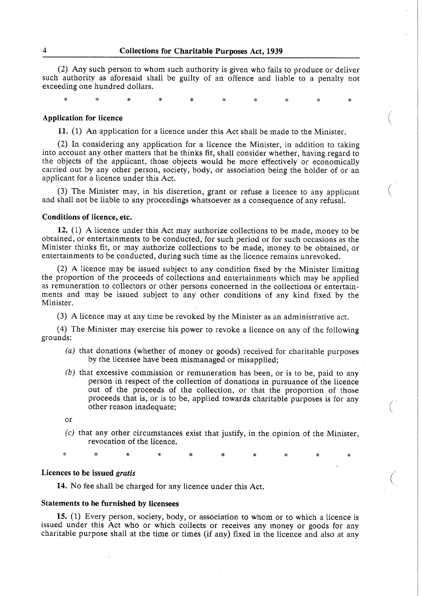(2) Any such person to whom such authority is given who fails to produce or deliver such authority as aforesaid shall be guilty of an offence and liable to a penalty not exceeding one hundred dollars.

#### **Application for licence**

÷

11. (1) An application for a licence under this Act shall be made to the Minister.

(2) In considering any application for a licence the Minister, in addition to taking into account any other matters that he thinks fit, shall consider whether, having regard to the objects of the applicant, those objects would be more effectively or economically carried out by any other person, society, body, or association being the holder of or an applicant for a licence under this Act.

**(3)** The Minister may, in his discretion, grant or refuse a licence to any applicant and shall not be liable to any proceedings whatsoever as a consequence of any refusal. (

#### **Conditions of licence, etc.**

**12.** (1) A licence under this Act may authorize collections to be made, money to be obtained, or entertainments to be conducted, for such period or for such occasions as the Minister thinks fit, or may authorize collections to be made, money to be obtained, or entertainments to be conducted, during such time as the licence remains unrevoked.

(2) A licence may be issued subject to any condition fixed by the Minister limiting the proportion of the proceeds of collections and entertainments which may be applied as remuneration to collectors or other persons concerned in the collections or entertainments and may be issued subject to any other conditions of any kind fixed by the Minister.

(3) A licence may at any time be revoked by the Minister as an administrative act.

(4) The Minister may exercise his power to revoke a licence on any of the following grounds:

- (a) that donations (whether of money or goods) received for charitable purposes by the licensee have been mismanaged or misapplied;
- *lb)* that excessive commission or remuneration has been, or is to be, paid to any person in respect of the collection of donations in pursuance of the licence out of the proceeds of the collection, or that the proportion of those proceeds that is, or is to be, applied towards charitable purposes is for any other reason inadequate; (
- or
- (c) that any other circumstances exist that justify, in the opinion of the Minister, revocation of the licence.

 $\ast$ 

# **Licences to be issued gratis**  $\left(\frac{1}{2}\right)^{1/2}$

**14.** No fee shall be charged for any licence under this Act.

#### **Statements to be furnished by licensees**

15. (1) Every person, society, body, or association to whom or to which a licence is issued under this Act who or which collects or receives any money or goods for any charitable purpose shall at the time or times (if any) fixed in the licence and also at any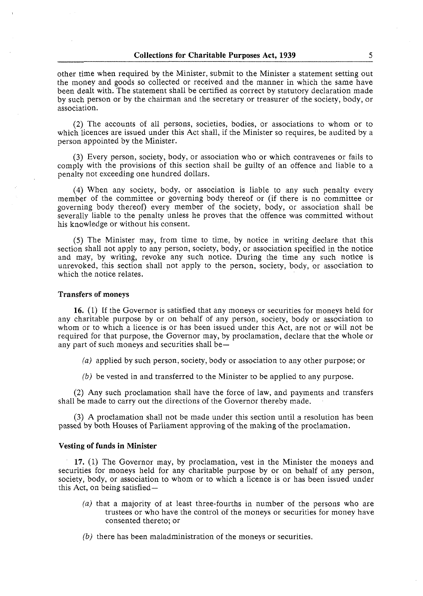other time when required by the Minister, submit to the Minister a statement setting out the money and goods so collected or received and the manner in which the same have been dealt with. The statement shall be certified as correct by statutory declaration made by such person or by the chairman and the secretary or treasurer of the society, body, or association.

(2) The accounts of all persons, societies, bodies, or associations to whom or to which licences are issued under this Act shall, if the Minister so requires, be audited by a person appointed by the Minister.

(3) Every person, society, body, or association who or which contravenes or fails to comply with the provisions of this section shall be guilty of an offence and liable to a penalty not exceeding one hundred dollars.

(4) When any society, body, or association is liable to any such penalty every member of the committee or governing body thereof or (if there is no committee or governing body thereof) every member of the society, body, or association shall be severally liable to the penalty unless he proves that the offence was committed without his knowledge or without his consent.

(5) The Minister may, from time to time, by notice in writing declare that this section shall not apply to any person, society, body, or association specified in the notice and may, by writing, revoke any such notice. During the time any such notice is unrevoked, this section shall not apply to the person, society, body, or association to which the notice relates.

#### *Transfers of moneys*

**16.** (1) If the Governor is satisfied that any moneys or securities for moneys held for any charitable purpose by or on behalf of any person, society, body or association to whom or to which a licence is or has been issued under this Act, are not or will not be required for that purpose, the Governor may, by proclamation, declare that the whole or any part of such moneys and securities shall be $-$ 

- *(a)* applied by such person, society, body or association to any other purpose; or
- *(b)* be vested in and transferred to the Minister to be applied to any purpose.

(2) Any such proclamation shall have the force of law, and payments and transfers shall be made to carry out the directions of the Governor thereby made.

(3) A proclamation shall not be made under this section until a resolution has been passed by both Houses of Parliament approving of the making of the proclamation.

#### *Vesting of funds* **in** *Minister*

**17.** (1) The Governor may, by proclamation, vest in the Minister the moneys and securities for moneys held for any charitable purpose by or on behalf of any person, society, body, or association to whom or to which a licence is or has been issued under this Act, on being satisfied-

- *(a)* that a majority of at least three-fourths in number of the persons who are trustees or who have the control of the moneys or securities for money have consented thereto; or
- *(b)* there has been maladministration of the moneys or securities.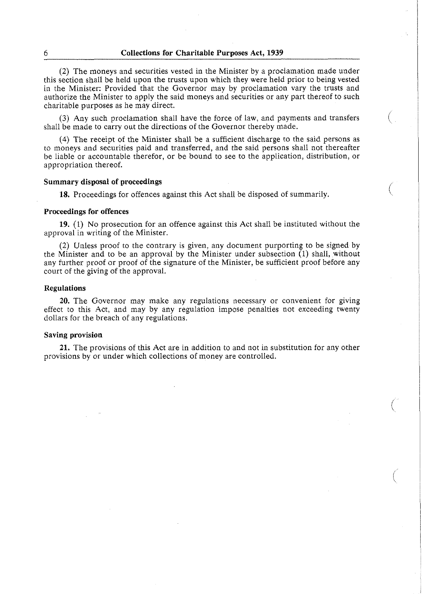(2) The moneys and securities vested in the Minister by a proclamation made under this section shall be held upon the trusts upon which they were held prior to being vested in the Minister: Provided that the Governor may by proclamation vary the trusts and authorize the Minister to apply the said moneys and securities or any part thereof to such charitable purposes as he may direct.

**(3)** Any such proclamation shall have the force of law, and payments and transfers shall be made to carry out the directions of the Governor thereby made. (

(4) The receipt of the Minister shall be a sufficient discharge to the said persons as to moneys and securities paid and transferred, and the said persons shall not thereafter be liable or accountable therefor, or be bound to see to the application, distribution, or appropriation thereof.

#### **Summary disposal of proceedings** /

**18.** Proceedings for offences against this Act shall be disposed of summarily.

#### **Proceedings for offences**

**19.** (1) No prosecution for an offence against this Act shall be instituted without the approval in writing of the Minister.

(2) Unless proof to the contrary is given, any document purporting to be signed by the Minister and to be an approval by the Minister under subsection (1) shall, without any further proof or proof of the signature of the Minister, be sufficient proof before any court of the giving of the approval.

#### **Regulations**

**20.** The Governor may make any regulations necessary or convenient for giving effect to this Act, and may by any regulation impose penalties not exceeding twenty dollars for the breach of any regulations.

#### **Saving provision**

**21.** The provisions of this Act are in addition to and not in substitution for any other provisions by or under which collections of money are controlled.